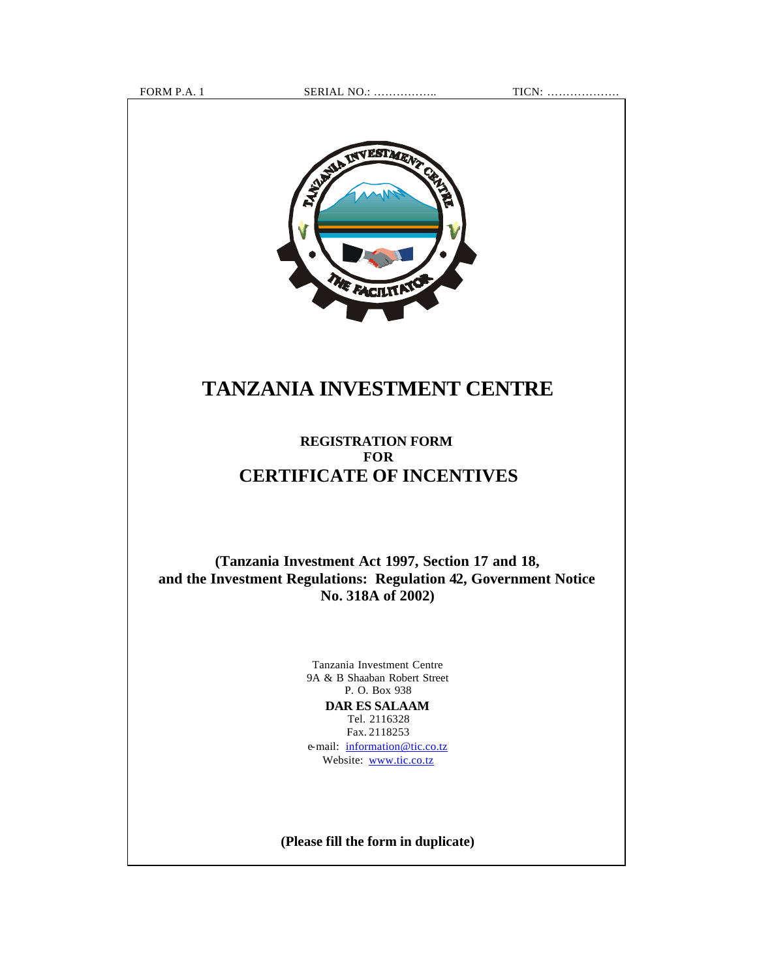FORM P.A. 1 SERIAL NO.: …………….. TICN: ……………….



# **TANZANIA INVESTMENT CENTRE**

## **REGISTRATION FORM FOR CERTIFICATE OF INCENTIVES**

**(Tanzania Investment Act 1997, Section 17 and 18, and the Investment Regulations: Regulation 42, Government Notice No. 318A of 2002)**

> Tanzania Investment Centre 9A & B Shaaban Robert Street P. O. Box 938 **DAR ES SALAAM** Tel. 2116328 Fax. 2118253 e-mail: information@tic.co.tz Website: www.tic.co.tz

**(Please fill the form in duplicate)**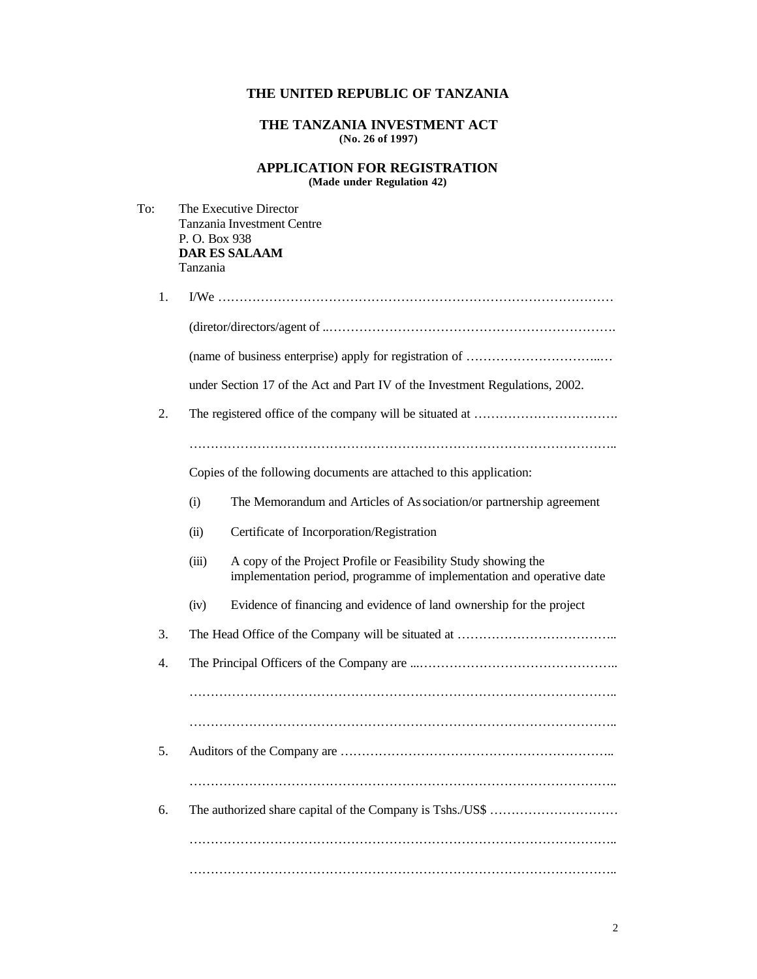## **THE UNITED REPUBLIC OF TANZANIA**

#### **THE TANZANIA INVESTMENT ACT (No. 26 of 1997)**

#### **APPLICATION FOR REGISTRATION (Made under Regulation 42)**

| To: | P.O. Box 938<br>Tanzania | The Executive Director<br>Tanzania Investment Centre<br><b>DAR ES SALAAM</b>                                                            |  |  |  |  |
|-----|--------------------------|-----------------------------------------------------------------------------------------------------------------------------------------|--|--|--|--|
| 1.  |                          |                                                                                                                                         |  |  |  |  |
|     |                          |                                                                                                                                         |  |  |  |  |
|     |                          |                                                                                                                                         |  |  |  |  |
|     |                          | under Section 17 of the Act and Part IV of the Investment Regulations, 2002.                                                            |  |  |  |  |
| 2.  |                          |                                                                                                                                         |  |  |  |  |
|     |                          |                                                                                                                                         |  |  |  |  |
|     |                          | Copies of the following documents are attached to this application:                                                                     |  |  |  |  |
|     | (i)                      | The Memorandum and Articles of As sociation/or partnership agreement                                                                    |  |  |  |  |
|     | (ii)                     | Certificate of Incorporation/Registration                                                                                               |  |  |  |  |
|     | (iii)                    | A copy of the Project Profile or Feasibility Study showing the<br>implementation period, programme of implementation and operative date |  |  |  |  |
|     | (iv)                     | Evidence of financing and evidence of land ownership for the project                                                                    |  |  |  |  |
| 3.  |                          |                                                                                                                                         |  |  |  |  |
| 4.  |                          |                                                                                                                                         |  |  |  |  |
|     |                          |                                                                                                                                         |  |  |  |  |
|     |                          |                                                                                                                                         |  |  |  |  |
| 5.  |                          |                                                                                                                                         |  |  |  |  |
|     |                          |                                                                                                                                         |  |  |  |  |
| 6.  |                          |                                                                                                                                         |  |  |  |  |
|     |                          |                                                                                                                                         |  |  |  |  |
|     |                          |                                                                                                                                         |  |  |  |  |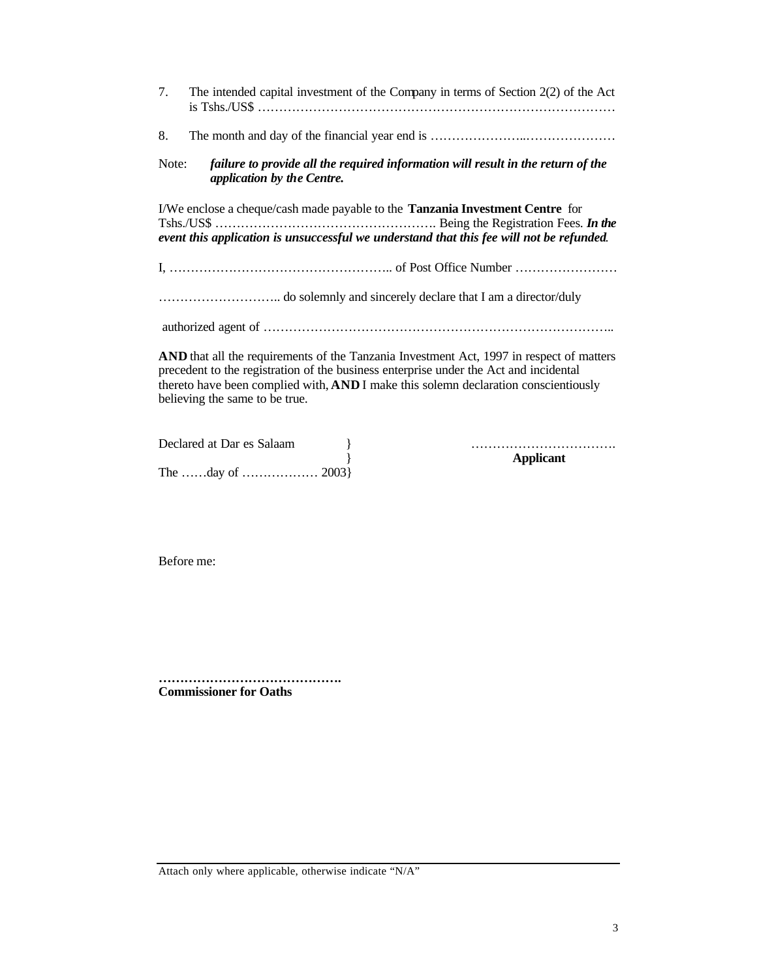| 7.                                                                                                                                                                                                                                                                                                         | The intended capital investment of the Company in terms of Section 2(2) of the Act                             |  |  |  |  |
|------------------------------------------------------------------------------------------------------------------------------------------------------------------------------------------------------------------------------------------------------------------------------------------------------------|----------------------------------------------------------------------------------------------------------------|--|--|--|--|
| 8.                                                                                                                                                                                                                                                                                                         |                                                                                                                |  |  |  |  |
| Note:                                                                                                                                                                                                                                                                                                      | failure to provide all the required information will result in the return of the<br>application by the Centre. |  |  |  |  |
| I/We enclose a cheque/cash made payable to the Tanzania Investment Centre for<br>event this application is unsuccessful we understand that this fee will not be refunded.                                                                                                                                  |                                                                                                                |  |  |  |  |
|                                                                                                                                                                                                                                                                                                            |                                                                                                                |  |  |  |  |
|                                                                                                                                                                                                                                                                                                            |                                                                                                                |  |  |  |  |
|                                                                                                                                                                                                                                                                                                            |                                                                                                                |  |  |  |  |
| AND that all the requirements of the Tanzania Investment Act, 1997 in respect of matters<br>precedent to the registration of the business enterprise under the Act and incidental<br>thereto have been complied with, AND I make this solemn declaration conscientiously<br>believing the same to be true. |                                                                                                                |  |  |  |  |

| Declared at Dar es Salaam |  |
|---------------------------|--|
|                           |  |
|                           |  |

Declared at Dar es Salaam } ……………………………. } **Applicant**

Before me:

**……………………………………. Commissioner for Oaths**

Attach only where applicable, otherwise indicate "N/A"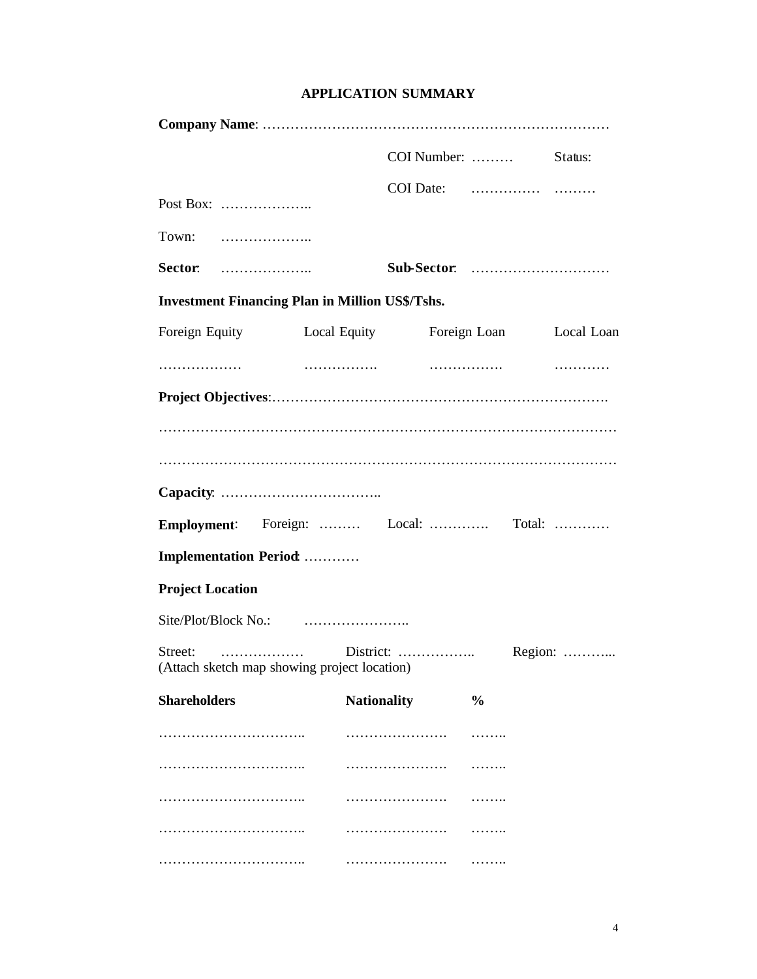| <b>APPLICATION SUMMARY</b> |  |
|----------------------------|--|
|----------------------------|--|

|                                                                       |                    | COI Number:  Status: |                         |  |
|-----------------------------------------------------------------------|--------------------|----------------------|-------------------------|--|
| Post Box:                                                             |                    |                      |                         |  |
| Town:                                                                 |                    |                      |                         |  |
| Sector:                                                               |                    |                      |                         |  |
| <b>Investment Financing Plan in Million US\$/Tshs.</b>                |                    |                      |                         |  |
| Foreign Equity Local Equity                                           |                    |                      | Foreign Loan Local Loan |  |
| .                                                                     |                    |                      |                         |  |
|                                                                       |                    |                      |                         |  |
| Employment: Foreign:  Local:  Total:<br><b>Implementation Period:</b> |                    |                      |                         |  |
| <b>Project Location</b>                                               |                    |                      |                         |  |
|                                                                       |                    |                      |                         |  |
| (Attach sketch map showing project location)                          |                    |                      |                         |  |
| <b>Shareholders</b>                                                   | <b>Nationality</b> |                      | $\frac{0}{0}$           |  |
|                                                                       |                    | .                    | <b>.</b> .              |  |
|                                                                       |                    |                      |                         |  |
|                                                                       |                    | .                    | .                       |  |